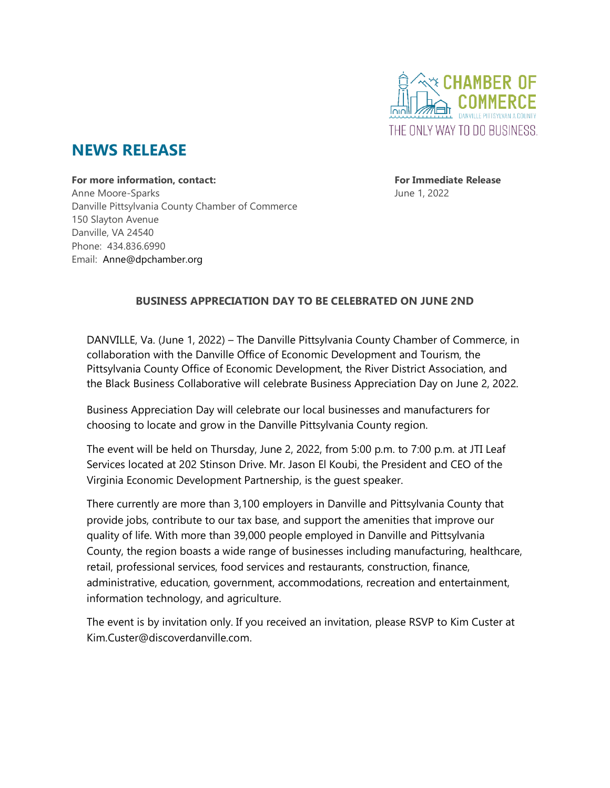

# **NEWS RELEASE**

**For more information, contact: For Immediate Release** Anne Moore-Sparks **Anne Moore-Sparks June 1, 2022** Danville Pittsylvania County Chamber of Commerce 150 Slayton Avenue Danville, VA 24540 Phone: 434.836.6990 Email: Anne@dpchamber.org

## **BUSINESS APPRECIATION DAY TO BE CELEBRATED ON JUNE 2ND**

DANVILLE, Va. (June 1, 2022) – The Danville Pittsylvania County Chamber of Commerce, in collaboration with the Danville Office of Economic Development and Tourism, the Pittsylvania County Office of Economic Development, the River District Association, and the Black Business Collaborative will celebrate Business Appreciation Day on June 2, 2022.

Business Appreciation Day will celebrate our local businesses and manufacturers for choosing to locate and grow in the Danville Pittsylvania County region.

The event will be held on Thursday, June 2, 2022, from 5:00 p.m. to 7:00 p.m. at JTI Leaf Services located at 202 Stinson Drive. Mr. Jason El Koubi, the President and CEO of the Virginia Economic Development Partnership, is the guest speaker.

There currently are more than 3,100 employers in Danville and Pittsylvania County that provide jobs, contribute to our tax base, and support the amenities that improve our quality of life. With more than 39,000 people employed in Danville and Pittsylvania County, the region boasts a wide range of businesses including manufacturing, healthcare, retail, professional services, food services and restaurants, construction, finance, administrative, education, government, accommodations, recreation and entertainment, information technology, and agriculture.

The event is by invitation only. If you received an invitation, please RSVP to Kim Custer at Kim.Custer@discoverdanville.com.